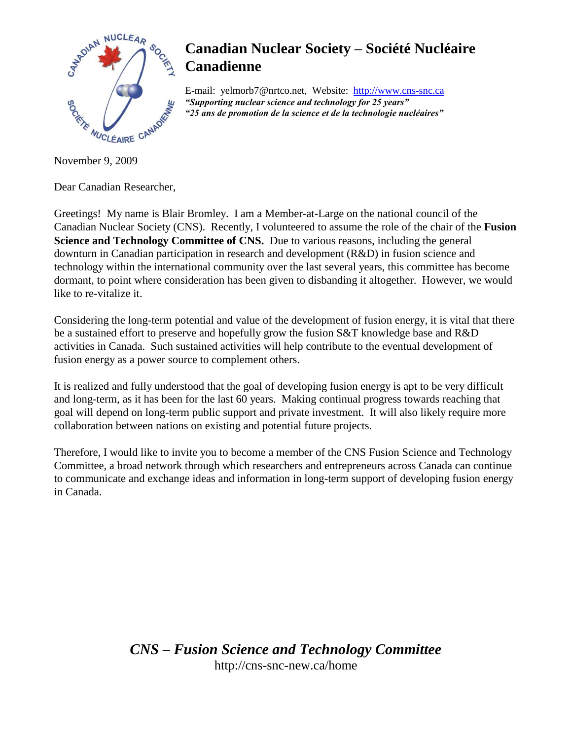

E-mail: yelmorb7@nrtco.net, Website: http://www.cns-snc.ca *"Supporting nuclear science and technology for 25 years" "25 ans de promotion de la science et de la technologie nucléaires"*

November 9, 2009

Dear Canadian Researcher,

Greetings! My name is Blair Bromley. I am a Member-at-Large on the national council of the Canadian Nuclear Society (CNS). Recently, I volunteered to assume the role of the chair of the **Fusion Science and Technology Committee of CNS.** Due to various reasons, including the general downturn in Canadian participation in research and development (R&D) in fusion science and technology within the international community over the last several years, this committee has become dormant, to point where consideration has been given to disbanding it altogether. However, we would like to re-vitalize it.

Considering the long-term potential and value of the development of fusion energy, it is vital that there be a sustained effort to preserve and hopefully grow the fusion S&T knowledge base and R&D activities in Canada. Such sustained activities will help contribute to the eventual development of fusion energy as a power source to complement others.

It is realized and fully understood that the goal of developing fusion energy is apt to be very difficult and long-term, as it has been for the last 60 years. Making continual progress towards reaching that goal will depend on long-term public support and private investment. It will also likely require more collaboration between nations on existing and potential future projects.

Therefore, I would like to invite you to become a member of the CNS Fusion Science and Technology Committee, a broad network through which researchers and entrepreneurs across Canada can continue to communicate and exchange ideas and information in long-term support of developing fusion energy in Canada.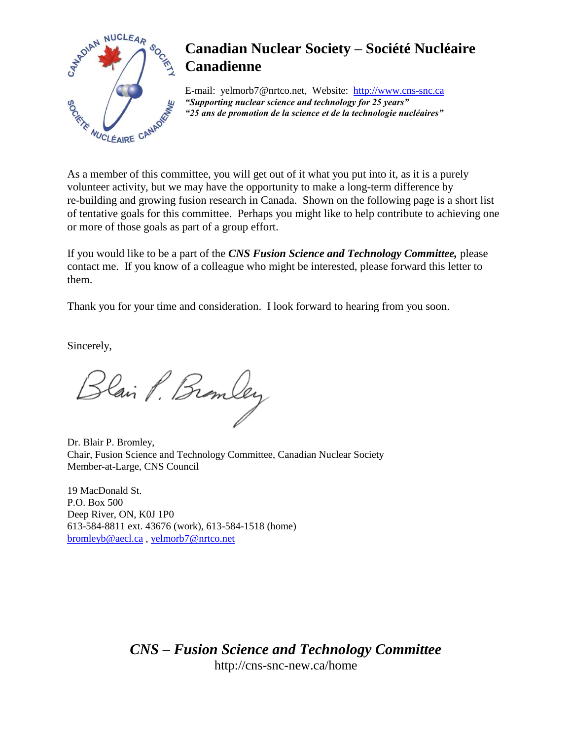

E-mail: yelmorb7@nrtco.net, Website: http://www.cns-snc.ca *"Supporting nuclear science and technology for 25 years" "25 ans de promotion de la science et de la technologie nucléaires"*

As a member of this committee, you will get out of it what you put into it, as it is a purely volunteer activity, but we may have the opportunity to make a long-term difference by re-building and growing fusion research in Canada. Shown on the following page is a short list of tentative goals for this committee. Perhaps you might like to help contribute to achieving one or more of those goals as part of a group effort.

If you would like to be a part of the *CNS Fusion Science and Technology Committee,* please contact me. If you know of a colleague who might be interested, please forward this letter to them.

Thank you for your time and consideration. I look forward to hearing from you soon.

Sincerely,

Blain P. Branley

Dr. Blair P. Bromley, Chair, Fusion Science and Technology Committee, Canadian Nuclear Society Member-at-Large, CNS Council

19 MacDonald St. P.O. Box 500 Deep River, ON, K0J 1P0 613-584-8811 ext. 43676 (work), 613-584-1518 (home) [bromleyb@aecl.ca](mailto:bromleyb@aecl.ca) , [yelmorb7@nrtco.net](mailto:yelmorb7@nrtco.net)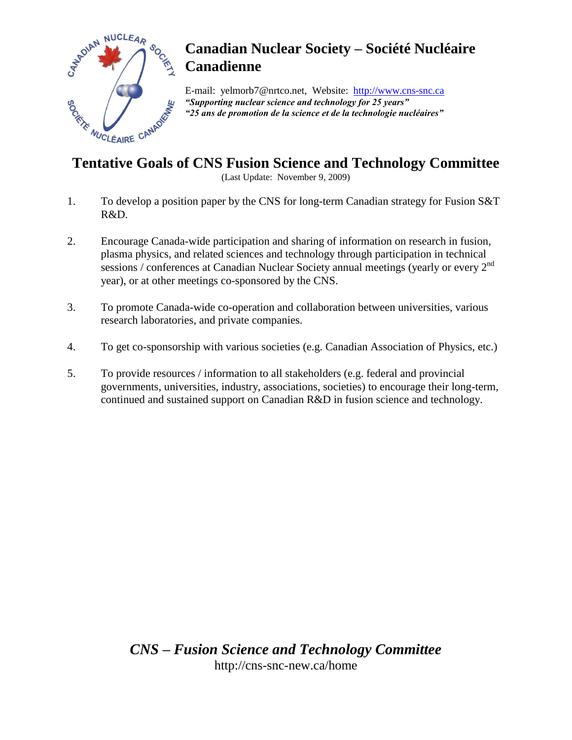

E-mail: yelmorb7@nrtco.net, Website: http://www.cns-snc.ca *"Supporting nuclear science and technology for 25 years" "25 ans de promotion de la science et de la technologie nucléaires"*

### **Tentative Goals of CNS Fusion Science and Technology Committee**

(Last Update: November 9, 2009)

- 1. To develop a position paper by the CNS for long-term Canadian strategy for Fusion S&T R&D.
- 2. Encourage Canada-wide participation and sharing of information on research in fusion, plasma physics, and related sciences and technology through participation in technical sessions / conferences at Canadian Nuclear Society annual meetings (yearly or every 2<sup>nd</sup> year), or at other meetings co-sponsored by the CNS.
- 3. To promote Canada-wide co-operation and collaboration between universities, various research laboratories, and private companies.
- 4. To get co-sponsorship with various societies (e.g. Canadian Association of Physics, etc.)
- 5. To provide resources / information to all stakeholders (e.g. federal and provincial governments, universities, industry, associations, societies) to encourage their long-term, continued and sustained support on Canadian R&D in fusion science and technology.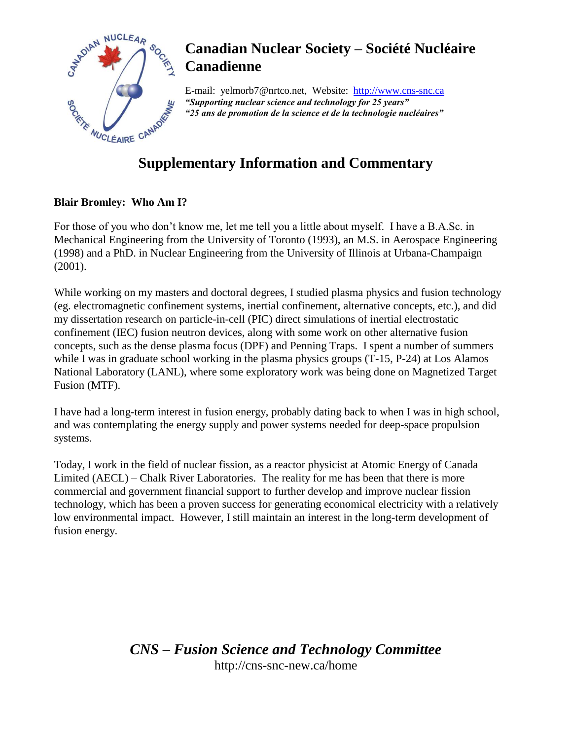

E-mail: yelmorb7@nrtco.net, Website: http://www.cns-snc.ca *"Supporting nuclear science and technology for 25 years" "25 ans de promotion de la science et de la technologie nucléaires"*

## **Supplementary Information and Commentary**

#### **Blair Bromley: Who Am I?**

For those of you who don't know me, let me tell you a little about myself. I have a B.A.Sc. in Mechanical Engineering from the University of Toronto (1993), an M.S. in Aerospace Engineering (1998) and a PhD. in Nuclear Engineering from the University of Illinois at Urbana-Champaign (2001).

While working on my masters and doctoral degrees, I studied plasma physics and fusion technology (eg. electromagnetic confinement systems, inertial confinement, alternative concepts, etc.), and did my dissertation research on particle-in-cell (PIC) direct simulations of inertial electrostatic confinement (IEC) fusion neutron devices, along with some work on other alternative fusion concepts, such as the dense plasma focus (DPF) and Penning Traps. I spent a number of summers while I was in graduate school working in the plasma physics groups (T-15, P-24) at Los Alamos National Laboratory (LANL), where some exploratory work was being done on Magnetized Target Fusion (MTF).

I have had a long-term interest in fusion energy, probably dating back to when I was in high school, and was contemplating the energy supply and power systems needed for deep-space propulsion systems.

Today, I work in the field of nuclear fission, as a reactor physicist at Atomic Energy of Canada Limited (AECL) – Chalk River Laboratories. The reality for me has been that there is more commercial and government financial support to further develop and improve nuclear fission technology, which has been a proven success for generating economical electricity with a relatively low environmental impact. However, I still maintain an interest in the long-term development of fusion energy.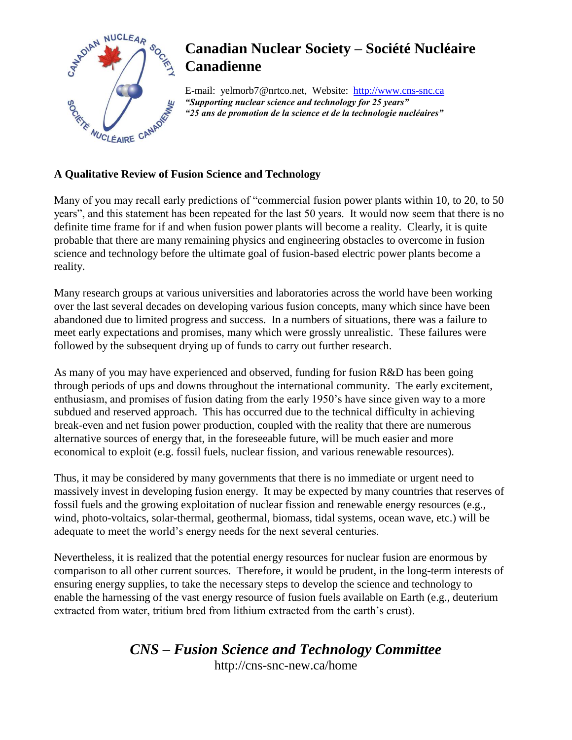

E-mail: yelmorb7@nrtco.net, Website: http://www.cns-snc.ca *"Supporting nuclear science and technology for 25 years" "25 ans de promotion de la science et de la technologie nucléaires"*

#### **A Qualitative Review of Fusion Science and Technology**

Many of you may recall early predictions of "commercial fusion power plants within 10, to 20, to 50 years", and this statement has been repeated for the last 50 years. It would now seem that there is no definite time frame for if and when fusion power plants will become a reality. Clearly, it is quite probable that there are many remaining physics and engineering obstacles to overcome in fusion science and technology before the ultimate goal of fusion-based electric power plants become a reality.

Many research groups at various universities and laboratories across the world have been working over the last several decades on developing various fusion concepts, many which since have been abandoned due to limited progress and success. In a numbers of situations, there was a failure to meet early expectations and promises, many which were grossly unrealistic. These failures were followed by the subsequent drying up of funds to carry out further research.

As many of you may have experienced and observed, funding for fusion R&D has been going through periods of ups and downs throughout the international community. The early excitement, enthusiasm, and promises of fusion dating from the early 1950's have since given way to a more subdued and reserved approach. This has occurred due to the technical difficulty in achieving break-even and net fusion power production, coupled with the reality that there are numerous alternative sources of energy that, in the foreseeable future, will be much easier and more economical to exploit (e.g. fossil fuels, nuclear fission, and various renewable resources).

Thus, it may be considered by many governments that there is no immediate or urgent need to massively invest in developing fusion energy. It may be expected by many countries that reserves of fossil fuels and the growing exploitation of nuclear fission and renewable energy resources (e.g., wind, photo-voltaics, solar-thermal, geothermal, biomass, tidal systems, ocean wave, etc.) will be adequate to meet the world's energy needs for the next several centuries.

Nevertheless, it is realized that the potential energy resources for nuclear fusion are enormous by comparison to all other current sources. Therefore, it would be prudent, in the long-term interests of ensuring energy supplies, to take the necessary steps to develop the science and technology to enable the harnessing of the vast energy resource of fusion fuels available on Earth (e.g., deuterium extracted from water, tritium bred from lithium extracted from the earth's crust).

# *CNS – Fusion Science and Technology Committee*

http://cns-snc-new.ca/home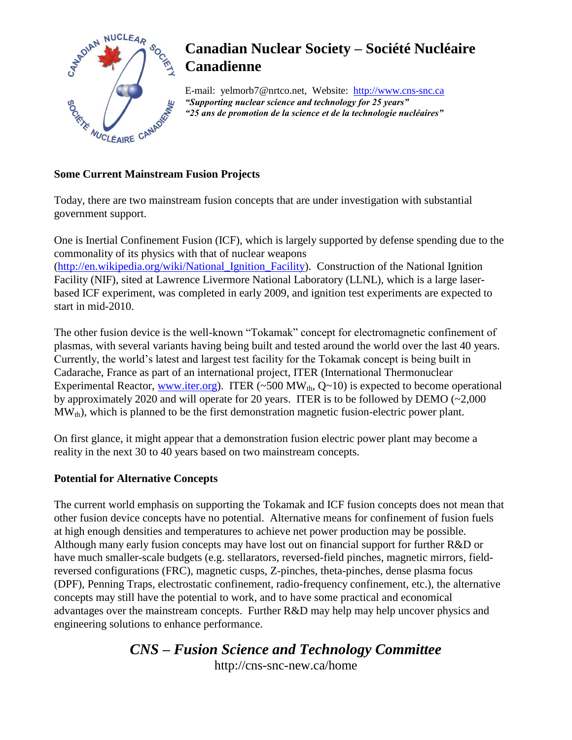

E-mail: yelmorb7@nrtco.net, Website: http://www.cns-snc.ca *"Supporting nuclear science and technology for 25 years" "25 ans de promotion de la science et de la technologie nucléaires"*

#### **Some Current Mainstream Fusion Projects**

Today, there are two mainstream fusion concepts that are under investigation with substantial government support.

One is Inertial Confinement Fusion (ICF), which is largely supported by defense spending due to the commonality of its physics with that of nuclear weapons [\(http://en.wikipedia.org/wiki/National\\_Ignition\\_Facility\)](http://en.wikipedia.org/wiki/National_Ignition_Facility). Construction of the National Ignition Facility (NIF), sited at Lawrence Livermore National Laboratory (LLNL), which is a large laserbased ICF experiment, was completed in early 2009, and ignition test experiments are expected to start in mid-2010.

The other fusion device is the well-known "Tokamak" concept for electromagnetic confinement of plasmas, with several variants having being built and tested around the world over the last 40 years. Currently, the world's latest and largest test facility for the Tokamak concept is being built in Cadarache, France as part of an international project, ITER (International Thermonuclear Experimental Reactor, [www.iter.org\)](http://www.iter.org/). ITER (~500 MW<sub>th</sub>,  $Q~10$ ) is expected to become operational by approximately 2020 and will operate for 20 years. ITER is to be followed by DEMO (~2,000  $MW_{th}$ , which is planned to be the first demonstration magnetic fusion-electric power plant.

On first glance, it might appear that a demonstration fusion electric power plant may become a reality in the next 30 to 40 years based on two mainstream concepts.

#### **Potential for Alternative Concepts**

The current world emphasis on supporting the Tokamak and ICF fusion concepts does not mean that other fusion device concepts have no potential. Alternative means for confinement of fusion fuels at high enough densities and temperatures to achieve net power production may be possible. Although many early fusion concepts may have lost out on financial support for further R&D or have much smaller-scale budgets (e.g. stellarators, reversed-field pinches, magnetic mirrors, fieldreversed configurations (FRC), magnetic cusps, Z-pinches, theta-pinches, dense plasma focus (DPF), Penning Traps, electrostatic confinement, radio-frequency confinement, etc.), the alternative concepts may still have the potential to work, and to have some practical and economical advantages over the mainstream concepts. Further R&D may help may help uncover physics and engineering solutions to enhance performance.